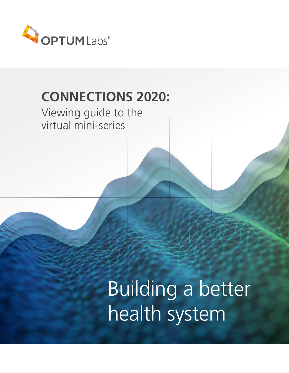

## **CONNECTIONS 2020:**

### Viewing guide to the virtual mini-series

# Building a better health system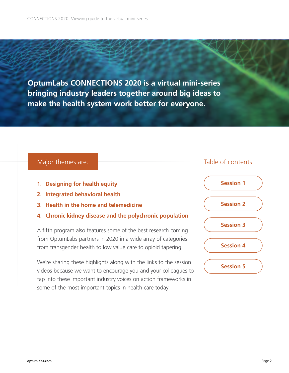**OptumLabs CONNECTIONS 2020 is a virtual mini-series bringing industry leaders together around big ideas to make the health system work better for everyone.**

- **1. Designing for health equity**
- **2. Integrated behavioral health**
- **3. Health in the home and telemedicine**
- **4. Chronic kidney disease and the polychronic population**

A fifth program also features some of the best research coming from OptumLabs partners in 2020 in a wide array of categories from transgender health to low value care to opioid tapering.

We're sharing these highlights along with the links to the session videos because we want to encourage you and your colleagues to tap into these important industry voices on action frameworks in some of the most important topics in health care today.

#### Major themes are: The Contents: Table of contents:

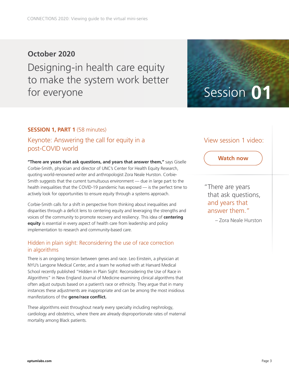### **October 2020** Designing-in health care equity to make the system work better for everyone Session 01

#### **SESSION 1, PART 1 (58 minutes)**

### Keynote: Answering the call for equity in a post-COVID world

**"There are years that ask questions, and years that answer them,"** says Giselle Corbie-Smith, physician and director of UNC's Center for Health Equity Research, quoting world-renowned writer and anthropologist Zora Neale Hurston. Corbie-Smith suggests that the current tumultuous environment — due in large part to the health inequalities that the COVID-19 pandemic has exposed — is the perfect time to actively look for opportunities to ensure equity through a systems approach.

Corbie-Smith calls for a shift in perspective from thinking about inequalities and disparities through a deficit lens to centering equity and leveraging the strengths and voices of the community to promote recovery and resiliency. This idea of **centering equity** is essential in every aspect of health care from leadership and policy implementation to research and community-based care.

#### Hidden in plain sight: Reconsidering the use of race correction in algorithms

There is an ongoing tension between genes and race. Leo Einstein, a physician at NYU's Langone Medical Center, and a team he worked with at Harvard Medical School recently published "Hidden in Plain Sight: Reconsidering the Use of Race in Algorithms" in New England Journal of Medicine examining clinical algorithms that often adjust outputs based on a patient's race or ethnicity. They argue that in many instances these adjustments are inappropriate and can be among the most insidious manifestations of the **gene/race conflict.** 

These algorithms exist throughout nearly every specialty including nephrology, cardiology and obstetrics, where there are already disproportionate rates of maternal mortality among Black patients.

#### View session 1 video:

#### **Watch now**

"There are years that ask questions, and years that answer them."

– Zora Neale Hurston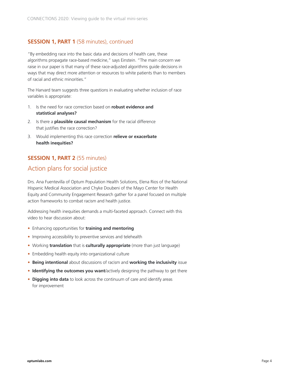#### **SESSION 1, PART 1** (58 minutes), continued

"By embedding race into the basic data and decisions of health care, these algorithms propagate race-based medicine," says Einstein. "The main concern we raise in our paper is that many of these race-adjusted algorithms guide decisions in ways that may direct more attention or resources to white patients than to members of racial and ethnic minorities."

The Harvard team suggests three questions in evaluating whether inclusion of race variables is appropriate:

- 1. Is the need for race correction based on **robust evidence and statistical analyses?**
- 2. Is there a **plausible causal mechanism** for the racial difference that justifies the race correction?
- 3. Would implementing this race correction **relieve or exacerbate health inequities?**

#### **SESSION 1, PART 2** (55 minutes)

#### Action plans for social justice

Drs. Ana Fuentevilla of Optum Population Health Solutions, Elena Rios of the National Hispanic Medical Association and Chyke Doubeni of the Mayo Center for Health Equity and Community Engagement Research gather for a panel focused on multiple action frameworks to combat racism and health justice.

Addressing health inequities demands a multi-faceted approach. Connect with this video to hear discussion about:

- Enhancing opportunities for **training and mentoring**
- Improving accessibility to preventive services and telehealth
- Working **translation** that is **culturally appropriate** (more than just language)
- Embedding health equity into organizational culture
- **Being intentional** about discussions of racism and **working the inclusivity** issue
- **Identifying the outcomes you want**/actively designing the pathway to get there
- **Digging into data** to look across the continuum of care and identify areas for improvement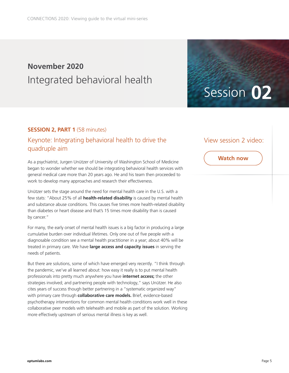### **November 2020** Integrated behavioral health

#### **SESSION 2, PART 1 (58 minutes)**

#### Keynote: Integrating behavioral health to drive the quadruple aim

As a psychiatrist, Jurgen Unützer of University of Washington School of Medicine began to wonder whether we should be integrating behavioral health services with general medical care more than 20 years ago. He and his team then proceeded to work to develop many approaches and research their effectiveness.

Unützer sets the stage around the need for mental health care in the U.S. with a few stats: "About 25% of all **health-related disability** is caused by mental health and substance abuse conditions. This causes five times more health-related disability than diabetes or heart disease and that's 15 times more disability than is caused by cancer."

For many, the early onset of mental health issues is a big factor in producing a large cumulative burden over individual lifetimes. Only one out of five people with a diagnosable condition see a mental health practitioner in a year; about 40% will be treated in primary care. We have **large access and capacity issues** in serving the needs of patients.

But there are solutions, some of which have emerged very recently. "I think through the pandemic, we've all learned about: how easy it really is to put mental health professionals into pretty much anywhere you have **internet access;** the other strategies involved; and partnering people with technology," says Unützer. He also cites years of success though better partnering in a "systematic organized way" with primary care through **collaborative care models.** Brief, evidence-based psychotherapy interventions for common mental health conditions work well in these collaborative peer models with telehealth and mobile as part of the solution. Working more effectively upstream of serious mental illness is key as well.

#### View session 2 video:

Session **02**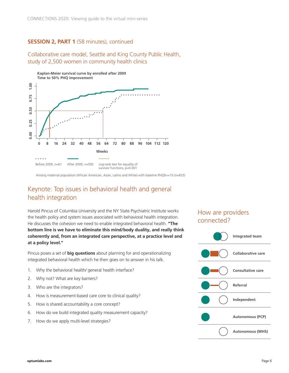#### **SESSION 2, PART 1** (58 minutes), continued

Collaborative care model, Seattle and King County Public Health, study of 2,500 women in community health clinics



Among maternal population (African American, Asian, Latino and White) with baseline PHQ9>=10 (n=653)

#### Keynote: Top issues in behavioral health and general health integration

Harold Pincus of Columbia University and the NY State Psychiatric Institute works the health policy and system issues associated with behavioral health integration. He discusses the cohesion we need to enable integrated behavioral health. **"The bottom line is we have to eliminate this mind/body duality, and really think coherently and, from an integrated care perspective, at a practice level and at a policy level."** 

Pincus poses a set of **big questions** about planning for and operationalizing integrated behavioral health which he then goes on to answer in his talk.

- 1. Why the behavioral health/ general health interface?
- 2. Why not? What are key barriers?
- 3. Who are the integrators?
- 4. How is measurement-based care core to clinical quality?
- 5. How is shared accountability a core concept?
- 6. How do we build integrated quality measurement capacity?
- 7. How do we apply multi-level strategies?

#### How are providers connected?

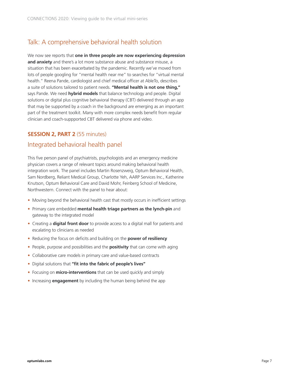#### Talk: A comprehensive behavioral health solution

We now see reports that **one in three people are now experiencing depression and anxiety** and there's a lot more substance abuse and substance misuse, a situation that has been exacerbated by the pandemic. Recently we've moved from lots of people googling for "mental health near me" to searches for "virtual mental health." Reena Pande, cardiologist and chief medical officer at AbleTo, describes a suite of solutions tailored to patient needs. **"Mental health is not one thing,"** says Pande. We need **hybrid models** that balance technology and people. Digital solutions or digital plus cognitive behavioral therapy (CBT) delivered through an app that may be supported by a coach in the background are emerging as an important part of the treatment toolkit. Many with more complex needs benefit from regular clinician and coach-suppported CBT delivered via phone and video.

#### **SESSION 2, PART 2** (55 minutes)

#### Integrated behavioral health panel

This five person panel of psychiatrists, psychologists and an emergency medicine physician covers a range of relevant topics around making behavioral health integration work. The panel includes Martin Rosenzweig, Optum Behavioral Health, Sam Nordberg, Reliant Medical Group, Charlotte Yeh, AARP Services Inc., Katherine Knutson, Optum Behavioral Care and David Mohr, Feinberg School of Medicine, Northwestern. Connect with the panel to hear about:

- Moving beyond the behavioral health cast that mostly occurs in inefficient settings
- Primary care embedded **mental health triage partners as the lynch-pin** and gateway to the integrated model
- Creating a **digital front door** to provide access to a digital mall for patients and escalating to clinicians as needed
- Reducing the focus on deficits and building on the **power of resiliency**
- People, purpose and possibilities and the **positivity** that can come with aging
- Collaborative care models in primary care and value-based contracts
- Digital solutions that **"fit into the fabric of people's lives"**
- Focusing on **micro-interventions** that can be used quickly and simply
- Increasing **engagement** by including the human being behind the app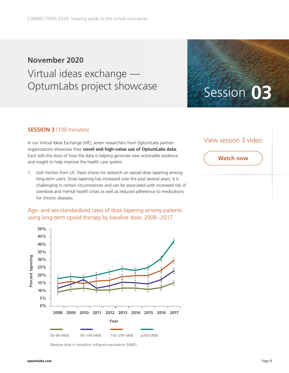### **November 2020** Virtual ideas exchange — OptumLabs project showcase Session 03

#### **SESSION 3** (100 minutes)

In our Virtual Ideas Exchange (VIE), seven researchers from OptumLabs partner organizations showcase their **novel and high-value use of OptumLabs data.** Each tells the story of how the data is helping generate new actionable evidence and insight to help improve the health care system.

1. Josh Fenton from UC Davis shares his research on opioid dose tapering among long-term users. Dose tapering has increased over the past several years. It is challenging in certain circumstances and can be associated with increased risk of overdose and mental health crises as well as reduced adherence to medications for chronic diseases.

#### Age- and sex-standardized rates of dose tapering among patients using long-term opioid therapy by baseline dose, 2008–2017



Baseline dose in morphine milligram equivalents (MME)

#### View session 3 video: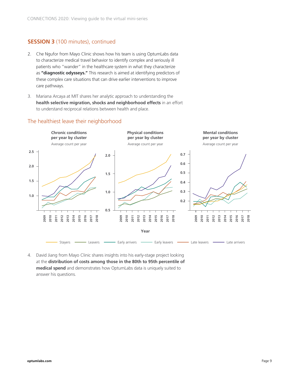#### **SESSION 3** (100 minutes), continued

- 2. Che Ngufor from Mayo Clinic shows how his team is using OptumLabs data to characterize medical travel behavior to identify complex and seriously ill patients who "wander" in the healthcare system in what they characterize as **"diagnostic odysseys."** This research is aimed at identifying predictors of these complex care situations that can drive earlier interventions to improve care pathways.
- 3. Mariana Arcaya at MIT shares her analytic approach to understanding the **health selective migration, shocks and neighborhood effects** in an effort to understand reciprocal relations between health and place.



#### The healthiest leave their neighborhood

4. David Jiang from Mayo Clinic shares insights into his early-stage project looking at the **distribution of costs among those in the 80th to 95th percentile of medical spend** and demonstrates how OptumLabs data is uniquely suited to answer his questions.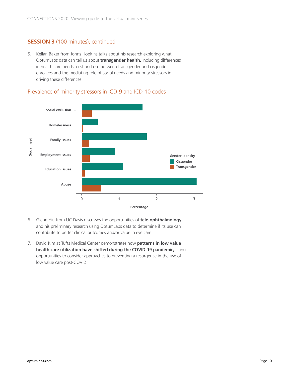#### **SESSION 3** (100 minutes), continued

5. Kellan Baker from Johns Hopkins talks about his research exploring what OptumLabs data can tell us about **transgender health,** including differences in health care needs, cost and use between transgender and cisgender enrollees and the mediating role of social needs and minority stressors in driving these differences.



#### Prevalence of minority stressors in ICD-9 and ICD-10 codes

- 6. Glenn Yiu from UC Davis discusses the opportunities of **tele-ophthalmology** and his preliminary research using OptumLabs data to determine if its use can contribute to better clinical outcomes and/or value in eye care.
- 7. David Kim at Tufts Medical Center demonstrates how **patterns in low value health care utilization have shifted during the COVID-19 pandemic,** citing opportunities to consider approaches to preventing a resurgence in the use of low value care post-COVID.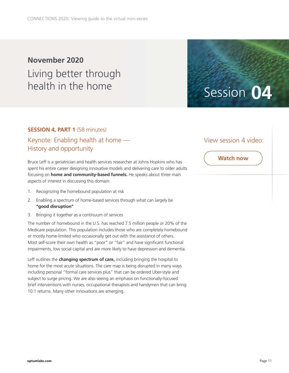### **November 2020** Living better through health in the home Session 04

#### **SESSION 4, PART 1 (58 minutes)**

### Keynote: Enabling health at home — History and opportunity

Bruce Leff is a geriatrician and health services researcher at Johns Hopkins who has spent his entire career designing innovative models and delivering care to older adults focusing on **home and community-based funnels.** He speaks about three main aspects of interest in discussing this domain:

- 1. Recognizing the homebound population at risk
- 2. Enabling a spectrum of home-based services through what can largely be **"good disruption"**
- 3. Bringing it together as a continuum of services

The number of homebound in the U.S. has reached 7.5 million people or 20% of the Medicare population. This population includes those who are completely homebound or mostly home-limited who occasionally get out with the assistance of others. Most self-score their own health as "poor" or "fair" and have significant functional impairments, low social capital and are more likely to have depression and dementia.

Leff outlines the **changing spectrum of care,** including bringing the hospital to home for the most acute situations. The care map is being disrupted in many ways including personal "formal care services plus" that can be ordered Uber-style and subject to surge pricing. We are also seeing an emphasis on functionally-focused brief interventions with nurses, occupational therapists and handymen that can bring 10:1 returns. Many other innovations are emerging.

#### View session 4 video: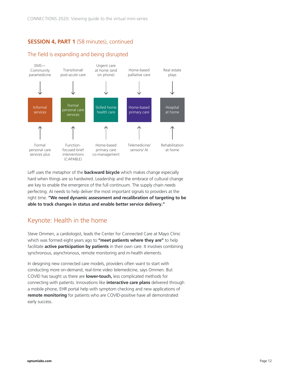#### **SESSION 4, PART 1** (58 minutes), continued

#### The field is expanding and being disrupted



Leff uses the metaphor of the **backward bicycle** which makes change especially hard when things are so hardwired. Leadership and the embrace of cultural change are key to enable the emergence of the full continuum. The supply chain needs perfecting. AI needs to help deliver the most important signals to providers at the right time. **"We need dynamic assessment and recalibration of targeting to be able to track changes in status and enable better service delivery."** 

#### Keynote: Health in the home

Steve Ommen, a cardiologist, leads the Center for Connected Care at Mayo Clinic which was formed eight years ago to **"meet patients where they are"** to help facilitate **active participation by patients** in their own care. It involves combining synchronous, asynchronous, remote monitoring and m-health elements.

In designing new connected care models, providers often want to start with conducting more on-demand, real-time video telemedicine, says Ommen. But COVID has taught us there are **lower-touch,** less complicated methods for connecting with patients. Innovations like **interactive care plans** delivered through a mobile phone, EHR portal help with symptom checking and new applications of **remote monitoring** for patients who are COVID-positive have all demonstrated early success.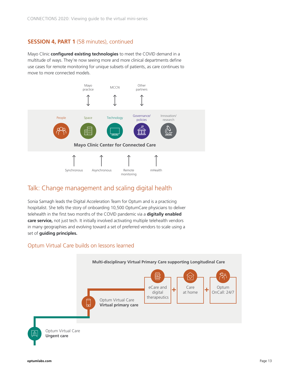#### **SESSION 4, PART 1** (58 minutes), continued

Mayo Clinic **configured existing technologies** to meet the COVID demand in a multitude of ways. They're now seeing more and more clinical departments define use cases for remote monitoring for unique subsets of patients, as care continues to move to more connected models.



#### Talk: Change management and scaling digital health

Sonia Samagh leads the Digital Acceleration Team for Optum and is a practicing hospitalist. She tells the story of onboarding 10,500 OptumCare physicians to deliver telehealth in the first two months of the COVID pandemic via a **digitally enabled care service,** not just tech. It initially involved activating multiple telehealth vendors in many geographies and evolving toward a set of preferred vendors to scale using a set of **guiding principles.**

#### Optum Virtual Care builds on lessons learned

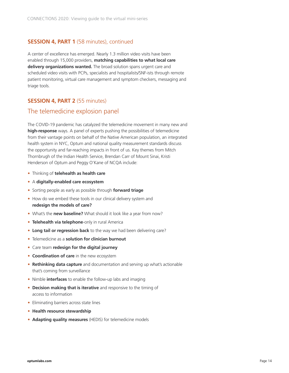#### **SESSION 4, PART 1** (58 minutes), continued

A center of excellence has emerged. Nearly 1.3 million video visits have been enabled through 15,000 providers, **matching capabilities to what local care delivery organizations wanted.** The broad solution spans urgent care and scheduled video visits with PCPs, specialists and hospitalists/SNF-ists through remote patient monitoring, virtual care management and symptom checkers, messaging and triage tools.

#### **SESSION 4, PART 2** (55 minutes)

#### The telemedicine explosion panel

The COVID-19 pandemic has catalyzed the telemedicine movement in many new and **high-response** ways. A panel of experts pushing the possibilities of telemedicine from their vantage points on behalf of the Native American population, an integrated health system in NYC, Optum and national quality measurement standards discuss the opportunity and far-reaching impacts in front of us. Key themes from Mitch Thornbrugh of the Indian Health Service, Brendan Carr of Mount Sinai, Kristi Henderson of Optum and Peggy O'Kane of NCQA include:

- Thinking of **telehealth as health care**
- A **digitally-enabled care ecosystem**
- Sorting people as early as possible through **forward triage**
- How do we embed these tools in our clinical delivery system and **redesign the models of care?**
- What's the **new baseline?** What should it look like a year from now?
- **Telehealth via telephone**-only in rural America
- **Long tail or regression back** to the way we had been delivering care?
- Telemedicine as a **solution for clinician burnout**
- Care team **redesign for the digital journey**
- **Coordination of care** in the new ecosystem
- **Rethinking data capture** and documentation and serving up what's actionable that's coming from surveillance
- Nimble **interfaces** to enable the follow-up labs and imaging
- **Decision making that is iterative** and responsive to the timing of access to information
- Eliminating barriers across state lines
- **Health resource stewardship**
- **Adapting quality measures** (HEDIS) for telemedicine models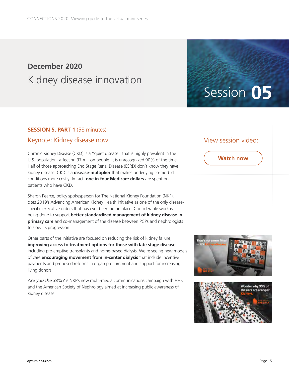### **December 2020** Kidney disease innovation

#### **SESSION 5, PART 1 (58 minutes)**

#### Keynote: Kidney disease now

Chronic Kidney Disease (CKD) is a "quiet disease" that is highly prevalent in the U.S. population, affecting 37 million people. It is unrecognized 90% of the time. Half of those approaching End Stage Renal Disease (ESRD) don't know they have kidney disease. CKD is a **disease-multiplier** that makes underlying co-morbid conditions more costly. In fact, **one in four Medicare dollars** are spent on patients who have CKD.

Sharon Pearce, policy spokesperson for The National Kidney Foundation (NKF), cites 2019's Advancing American Kidney Health Initiative as one of the only diseasespecific executive orders that has ever been put in place. Considerable work is being done to support **better standardized management of kidney disease in primary care** and co-management of the disease between PCPs and nephrologists to slow its progression.

Other parts of the initiative are focused on reducing the risk of kidney failure, **improving access to treatment options for those with late stage disease** including pre-emptive transplants and home-based dialysis. We're seeing new models of care **encouraging movement from in-center dialysis** that include incentive payments and proposed reforms in organ procurement and support for increasing living donors.

*Are you the 33%?* is NKF's new multi-media communications campaign with HHS and the American Society of Nephrology aimed at increasing public awareness of kidney disease.

#### View session video:

Session **05**



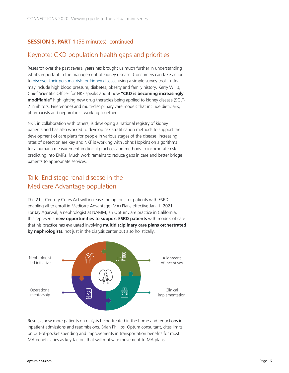#### **SESSION 5, PART 1** (58 minutes), continued

#### Keynote: CKD population health gaps and priorities

Research over the past several years has brought us much further in understanding what's important in the management of kidney disease. Consumers can take action to [discover their personal risk for kidney disease](https://www.kidney.org/phi/form?version=awareness) using a simple survey tool—risks may include high blood pressure, diabetes, obesity and family history. Kerry Willis, Chief Scientific Officer for NKF speaks about how **"CKD is becoming increasingly modifiable"** highlighting new drug therapies being applied to kidney disease (SGLT-2 inhibitors, Finerenone) and multi-disciplinary care models that include dieticians, pharmacists and nephrologist working together.

NKF, in collaboration with others, is developing a national registry of kidney patients and has also worked to develop risk stratification methods to support the development of care plans for people in various stages of the disease. Increasing rates of detection are key and NKF is working with Johns Hopkins on algorithms for albumaria measurement in clinical practices and methods to incorporate risk predicting into EMRs. Much work remains to reduce gaps in care and better bridge patients to appropriate services.

#### Talk: End stage renal disease in the Medicare Advantage population

The 21st Century Cures Act will increase the options for patients with ESRD, enabling all to enroll in Medicare Advantage (MA) Plans effective Jan. 1, 2021. For Jay Agarwal, a nephrologist at NAMM, an OptumCare practice in California, this represents **new opportunities to support ESRD patients** with models of care that his practice has evaluated involving **multidisciplinary care plans orchestrated by nephrologists,** not just in the dialysis center but also holistically.



Results show more patients on dialysis being treated in the home and reductions in inpatient admissions and readmissions. Brian Phillips, Optum consultant, cites limits on out-of-pocket spending and improvements in transportation benefits for most MA beneficiaries as key factors that will motivate movement to MA plans.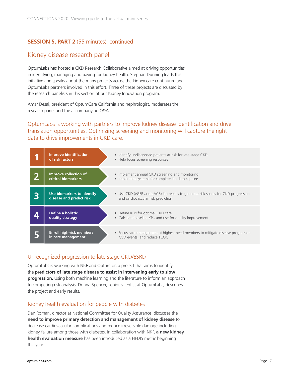#### **SESSION 5, PART 2** (55 minutes), continued

#### Kidney disease research panel

OptumLabs has hosted a CKD Research Collaborative aimed at driving opportunities in identifying, managing and paying for kidney health. Stephan Dunning leads this initiative and speaks about the many projects across the kidney care continuum and OptumLabs partners involved in this effort. Three of these projects are discussed by the research panelists in this section of our Kidney Innovation program.

Amar Desai, president of OptumCare California and nephrologist, moderates the research panel and the accompanying Q&A.

#### OptumLabs is working with partners to improve kidney disease identification and drive translation opportunities. Optimizing screening and monitoring will capture the right data to drive improvements in CKD care.

| <b>Improve identification</b><br>of risk factors       | • Identify undiagnosed patients at risk for late-stage CKD<br>• Help focus screening resources                          |
|--------------------------------------------------------|-------------------------------------------------------------------------------------------------------------------------|
| Improve collection of<br>critical biomarkers           | • Implement annual CKD screening and monitoring<br>• Implement systems for complete lab data capture                    |
| Use biomarkers to identify<br>disease and predict risk | • Use CKD (eGFR and uACR) lab results to generate risk scores for CKD progression<br>and cardiovascular risk prediction |
| <b>Define a holistic</b><br>quality strategy           | • Define KPIs for optimal CKD care<br>• Calculate baseline KPIs and use for quality improvement                         |
| <b>Enroll high-risk members</b><br>in care management  | • Focus care management at highest need members to mitigate disease progression,<br>CVD events, and reduce TCOC         |

#### Unrecognized progression to late stage CKD/ESRD

OptumLabs is working with NKF and Optum on a project that aims to identify the **predictors of late stage disease to assist in intervening early to slow progression.** Using both machine learning and the literature to inform an approach to competing risk analysis, Donna Spencer, senior scientist at OptumLabs, describes the project and early results.

#### Kidney health evaluation for people with diabetes

Dan Roman, director at National Committee for Quality Assurance, discusses the **need to improve primary detection and management of kidney disease** to decrease cardiovascular complications and reduce irreversible damage including kidney failure among those with diabetes. In collaboration with NKF, **a new kidney health evaluation measure** has been introduced as a HEDIS metric beginning this year.